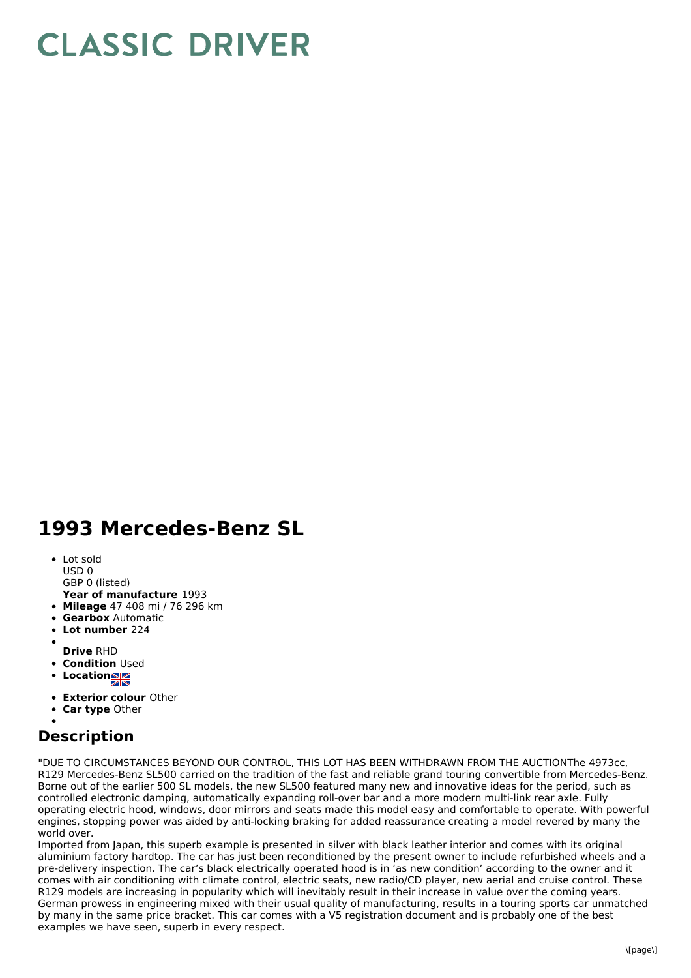## **CLASSIC DRIVER**

## **1993 Mercedes-Benz SL**

- Lot sold USD 0
- GBP 0 (listed)
- **Year of manufacture** 1993
- **Mileage** 47 408 mi / 76 296 km
- **Gearbox** Automatic
- **Lot number** 224
- 
- **Drive** RHD
- **Condition Used**
- Location**NE**
- **Exterior colour** Other
- **Car type** Other

## **Description**

"DUE TO CIRCUMSTANCES BEYOND OUR CONTROL, THIS LOT HAS BEEN WITHDRAWN FROM THE AUCTIONThe 4973cc, R129 Mercedes-Benz SL500 carried on the tradition of the fast and reliable grand touring convertible from Mercedes-Benz. Borne out of the earlier 500 SL models, the new SL500 featured many new and innovative ideas for the period, such as controlled electronic damping, automatically expanding roll-over bar and a more modern multi-link rear axle. Fully operating electric hood, windows, door mirrors and seats made this model easy and comfortable to operate. With powerful engines, stopping power was aided by anti-locking braking for added reassurance creating a model revered by many the world over.

Imported from Japan, this superb example is presented in silver with black leather interior and comes with its original aluminium factory hardtop. The car has just been reconditioned by the present owner to include refurbished wheels and a pre-delivery inspection. The car's black electrically operated hood is in 'as new condition' according to the owner and it comes with air conditioning with climate control, electric seats, new radio/CD player, new aerial and cruise control. These R129 models are increasing in popularity which will inevitably result in their increase in value over the coming years. German prowess in engineering mixed with their usual quality of manufacturing, results in a touring sports car unmatched by many in the same price bracket. This car comes with a V5 registration document and is probably one of the best examples we have seen, superb in every respect.